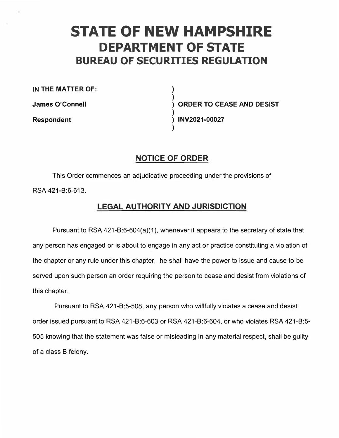# **STATE OF NEW HAMPSHIRE DEPARTMENT OF STATE BUREAU OF SECURITIES REGULATION**

**) )** 

**)** 

**)** 

**IN THE MATTER OF:** 

**James O'Connell** 

**Respondent** 

**) ORDER TO CEASE AND DESIST ) INV2021-00027** 

# **NOTICE OF ORDER**

This Order commences an adjudicative proceeding under the provisions of RSA 421-8:6-613.

# **LEGAL AUTHORITY AND JURISDICTION**

Pursuant to RSA 421-8:6-604(a)(1 ), whenever it appears to the secretary of state that any person has engaged or is about to engage in any act or practice constituting a violation of the chapter or any rule under this chapter, he shall have the power to issue and cause to be served upon such person an order requiring the person to cease and desist from violations of this chapter.

Pursuant to RSA 421-8:5-508, any person who willfully violates a cease and desist order issued pursuant to RSA 421-8:6-603 or RSA 421-8:6-604, or who violates RSA 421-8:5- 505 knowing that the statement was false or misleading in any material respect, shall be guilty of a class B felony.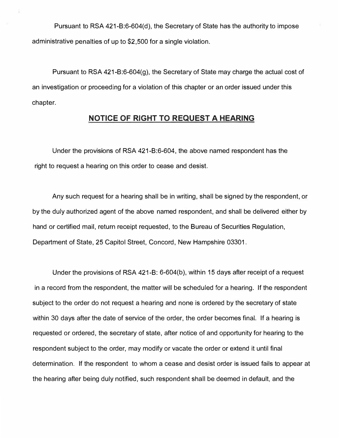**Pursuant to RSA 421-8:6-604(d), the Secretary of State has the authority to impose administrative penalties of up to \$2,500 for a single violation.** 

**Pursuant to RSA 421-8:6-604(9), the Secretary of State may charge the actual cost of an investigation or proceeding for a violation of this chapter or an order issued under this chapter.** 

### **NOTICE OF RIGHT TO REQUEST A HEARING**

**Under the provisions of RSA 421-8:6-604, the above named respondent has the right to request a hearing on this order to cease and desist.** 

**Any such request for a hearing shall be in writing, shall be signed by the respondent, or by the duly authorized agent of the above named respondent, and shall be delivered either by hand or certified mail, return receipt requested, to the Bureau of Securities Regulation, Department of State, 25 Capitol Street, Concord, New Hampshire 03301.** 

**Under the provisions of RSA 421-8: 6-604(b), within 15 days after receipt of a request in a record from the respondent, the matter will be scheduled for a hearing. If the respondent subject to the order do not request a hearing and none is ordered by the secretary of state within 30 days after the date of service of the order, the order becomes final. If a hearing is requested or ordered, the secretary of state, after notice of and opportunity for hearing to the respondent subject to the order, may modify or vacate the order or extend it until final determination. If the respondent to whom a cease and desist order is issued fails to appear at the hearing after being duly notified, such respondent shall be deemed in default, and the**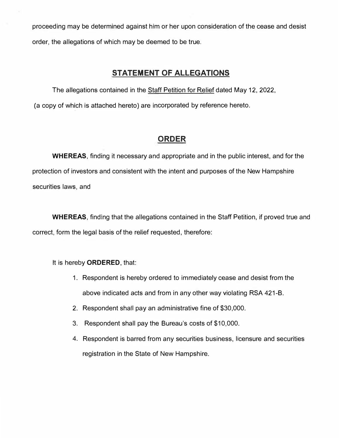proceeding may be determined against him or her upon consideration of the cease and desist order, the allegations of which may be deemed to be true.

## **STATEMENT OF ALLEGATIONS**

The allegations contained in the Staff Petition for Relief dated May 12, 2022, (a copy of which is attached hereto) are incorporated by reference hereto.

# **ORDER**

**WHEREAS,** finding it necessary and appropriate and in the public interest, and for the protection of investors and consistent with the intent and purposes of the New Hampshire securities laws, and

**WHEREAS,** finding that the allegations contained in the Staff Petition, if proved true and correct, form the legal basis of the relief requested, therefore:

It is hereby **ORDERED,** that:

- 1. Respondent is hereby ordered to immediately cease and desist from the above indicated acts and from in any other way violating RSA 421-B.
- 2. Respondent shall pay an administrative fine of \$30,000.
- 3. Respondent shall pay the Bureau's costs of \$10,000.
- 4. Respondent is barred from any securities business, licensure and securities registration in the State of New Hampshire.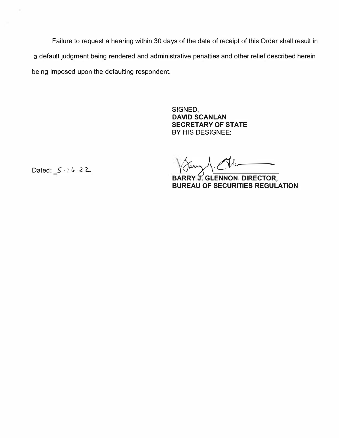**Failure to request a hearing within 30 days of the date of receipt of this Order shall result in a default judgment being rendered and administrative penalties and other relief described herein being imposed upon the defaulting respondent.** 

> **SIGNED, DAVID SCANLAN SECRETARY OF STATE BY HIS DESIGNEE:**

Dated:  $5 \cdot 6 \cdot 22$ .

Jann 1. Al.

**BARRY J. GLENNON, DIRECTOR, BUREAU OF SECURITIES REGULATION**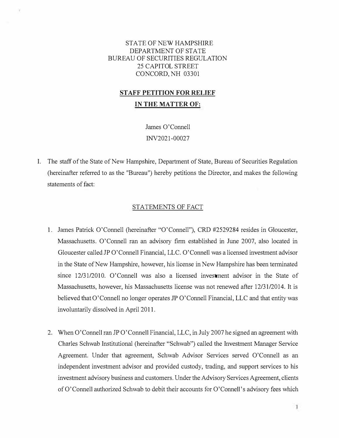### STATE OF NEW HAMPSHIRE DEPARTMENT OF STATE BUREAU OF SECURITIES REGULATION 25 CAPITOL STREET CONCORD, NH 03301

# **STAFF PETITION FOR RELIEF**

### **IN THE MATTER OF:**

James O'Connell INV2021-00027

I. The staff of the State of New Hampshire, Department of State, Bureau of Securities Regulation (hereinafter referred to as the "Bureau") hereby petitions the Director, and makes the following statements of fact:

### STATEMENTS OF FACT

- 1. James Patrick O'Connell (hereinafter "O'Connell"), CRD #2529284 resides in Gloucester, Massachusetts. O'Connell ran an advisory firm established in June 2007, also located in Gloucester called JP O'Connell Financial, LLC. O'Connell was a licensed investment advisor in the State of New Hampshire, however, his license in New Hampshire has been terminated since 12/31/2010. O'Connell was also a licensed investment advisor in the State of Massachusetts, however, his Massachusetts license was not renewed after 12/31/2014. It is believed that O'Connell no longer operates JP O'Connell Financial, LLC and that entity was involuntarily dissolved in April 2011.
- 2. When O'Connell ran JP O'Connell Financial, LLC, in July 2007 he signed an agreement with Charles Schwab Institutional (hereinafter "Schwab") called the Investment Manager Service Agreement. Under that agreement, Schwab Advisor Services served O'Connell as an independent investment advisor and provided custody, trading, and support services to his investment advisory business and customers. Under the Advisory Services Agreement, clients of O'Connell authorized Schwab to debit their accounts for O'Connell's advisory fees which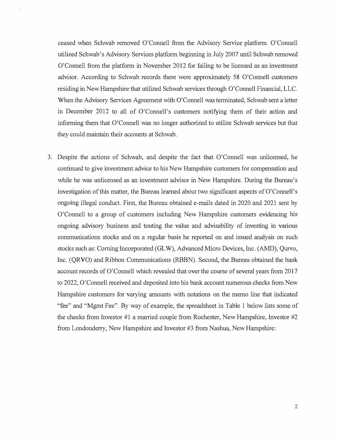ceased when Schwab removed O'Connell from the Advisory Service platform. O'Connell utilized Schwab's Advisory Services platform beginning in July 2007 until Schwab removed O'Connell from the platform in November 2012 for failing to be licensed as an investment advisor. According to Schwab records there were approximately 58 O'Connell customers residing in New Hampshire that utilized Schwab services through O'Connell Financial, LLC. When the Advisory Services Agreement with O'Connell was terminated, Schwab sent a letter in December 2012 to all of O'Connell's customers notifying them of their action and informing them that O'Connell was no longer authorized to utilize Schwab services but that they could maintain their accounts at Schwab.

3. Despite the actions of Schwab, and despite the fact that O'Connell was unlicensed, he continued to give investment advice to his New Hampshire customers for compensation and while he was unlicensed as an investment advisor in New Hampshire. During the Bureau's investigation of this matter, the Bureau learned about two significant aspects of O'Connell's ongoing illegal conduct. First, the Bureau obtained e-mails dated in 2020 and 2021 sent by O'Connell to a group of customers including New Hampshire customers evidencing his ongoing advisory business and touting the value and advisability of investing in various communications stocks and on a regular basis he reported on and issued analysis on such stocks such as: Corning Incorporated (GL W), Advanced Micro Devices, Inc. (AMD), Qurvo, Inc. (QRVO) and Ribbon Communications (RBBN). Second, the Bureau obtained the bank account records of O'Connell which revealed that over the course of several years from 2017 to 2022, O'Connell received and deposited into his bank account numerous checks from New Hampshire customers for varying amounts with notations on the memo line that indicated "fee" and "Mgmt Fee". By way of example, the spreadsheet in Table 1 below lists some of the checks from Investor #1 a married couple from Rochester, New Hampshire, Investor #2 from Londonderry, New Hampshire and Investor #3 from Nashua, New Hampshire: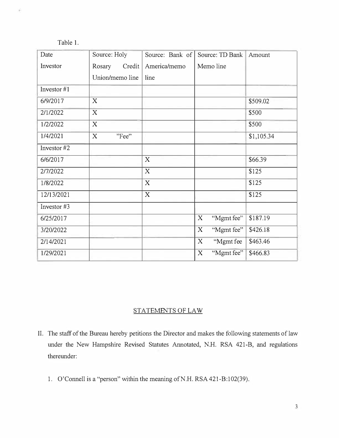| able |  |  |
|------|--|--|
|      |  |  |

| Date        | Source: Holy     | Source: Bank of           | Source: TD Bank | Amount     |
|-------------|------------------|---------------------------|-----------------|------------|
| Investor    | Rosary<br>Credit | America/memo              | Memo line       |            |
|             | Union/memo line  | line                      |                 |            |
| Investor #1 |                  |                           |                 |            |
| 6/9/2017    | X                |                           |                 | \$509.02   |
| 2/1/2022    | X                |                           |                 | \$500      |
| 1/2/2022    | X                |                           |                 | \$500      |
| 1/4/2021    | X<br>"Fee"       |                           |                 | \$1,105.34 |
| Investor #2 |                  |                           |                 |            |
| 6/6/2017    |                  | X                         |                 | \$66.39    |
| 2/7/2022    |                  | $\boldsymbol{\mathrm{X}}$ |                 | \$125      |
| 1/8/2022    |                  | X                         |                 | \$125      |
| 12/13/2021  |                  | X                         |                 | \$125      |
| Investor #3 |                  |                           |                 |            |
| 6/25/2017   |                  |                           | "Mgmt fee"<br>X | \$187.19   |
| 3/20/2022   |                  |                           | "Mgmt fee"<br>X | \$426.18   |
| 2/14/2021   |                  |                           | "Mgmt fee<br>X  | \$463.46   |
| 1/29/2021   |                  |                           | "Mgmt fee"<br>X | \$466.83   |

### STATEMENTS OF LAW

- II. The staff of the Bureau hereby petitions the Director and makes the following statements of law under the New Hampshire Revised Statutes Annotated, N.H. RSA 421-B, and regulations thereunder:
	- 1. O'Connell is a "person" within the meaning of N.H. RSA 421-B:102(39).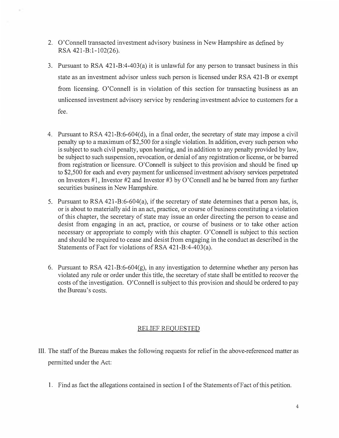- 2. O'Connell transacted investment advisory business in New Hampshire as defined by RSA 421-B:1-102(26).
- 3. Pursuant to RSA 421-B:4-403(a) it is unlawful for any person to transact business in this state as an investment advisor unless such person is licensed under RSA 421-B or exempt from licensing. O'Connell is in violation of this section for transacting business as an unlicensed investment advisory service by rendering investment advice to customers for a fee.
- 4. Pursuant to RSA 421-B:6-604(d), in a final order, the secretary of state may impose a civil penalty up to a maximum of \$2,500 for a single violation. In addition, every such person who is subject to such civil penalty, upon hearing, and in addition to any penalty provided by law, be subject to such suspension, revocation, or denial of any registration or license, or be barred from registration or licensure. O'Connell is subject to this provision and should be fined up to \$2,500 for each and every payment for unlicensed investment advisory services perpetrated on Investors #1, Investor #2 and Investor #3 by O'Connell and he be barred from any further securities business in New Hampshire.
- 5. Pursuant to RSA 421-B:6-604(a), if the secretary of state determines that a person has, is, or is about to materially aid in an act, practice, or course of business constituting a violation of this chapter, the secretary of state may issue an order directing the person to cease and desist from engaging in an act, practice, or course of business or to take other action necessary or appropriate to comply with this chapter. O'Connell is subject to this section and should be required to cease and desist from engaging in the conduct as described in the Statements of Fact for violations of RSA 421-B:4-403(a).
- 6. Pursuant to RSA 421-B:6-604(g), in any investigation to determine whether any person has violated any rule or order under this title, the secretary of state shall be entitled to recover the costs of the investigation. O'Connell is subject to this provision and should be ordered to pay the Bureau's costs.

### **RELIEF REQUESTED**

- III. The staff of the Bureau makes the following requests for relief in the above-referenced matter as permitted under the Act:
	- 1. Find as fact the allegations contained in section I of the Statements of Fact of this petition.